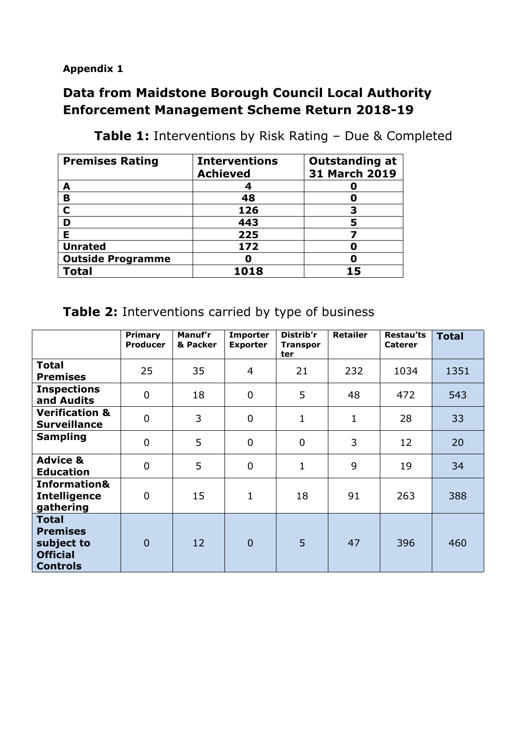**Appendix 1**

## **Data from Maidstone Borough Council Local Authority Enforcement Management Scheme Return 2018-19**

| <b>Premises Rating</b>   | <b>Interventions</b><br><b>Achieved</b> | <b>Outstanding at</b><br>31 March 2019 |  |  |
|--------------------------|-----------------------------------------|----------------------------------------|--|--|
|                          |                                         |                                        |  |  |
| A                        |                                         |                                        |  |  |
| B                        | 48                                      |                                        |  |  |
| C                        | 126                                     |                                        |  |  |
|                          | 443                                     |                                        |  |  |
| F                        | 225                                     |                                        |  |  |
| <b>Unrated</b>           | 172                                     |                                        |  |  |
| <b>Outside Programme</b> |                                         |                                        |  |  |
| <b>Total</b>             | 1018                                    |                                        |  |  |

**Table 1:** Interventions by Risk Rating – Due & Completed

## **Table 2:** Interventions carried by type of business

|                                                                                     | <b>Primary</b><br><b>Producer</b> | Manuf'r<br>& Packer | <b>Importer</b><br><b>Exporter</b> | Distrib'r<br><b>Transpor</b><br>ter | <b>Retailer</b> | <b>Restau'ts</b><br><b>Caterer</b> | <b>Total</b> |
|-------------------------------------------------------------------------------------|-----------------------------------|---------------------|------------------------------------|-------------------------------------|-----------------|------------------------------------|--------------|
| <b>Total</b><br><b>Premises</b>                                                     | 25                                | 35                  | 4                                  | 21                                  | 232             | 1034                               | 1351         |
| <b>Inspections</b><br>and Audits                                                    | $\mathbf 0$                       | 18                  | $\mathbf 0$                        | 5                                   | 48              | 472                                | 543          |
| <b>Verification &amp;</b><br><b>Surveillance</b>                                    | $\mathbf 0$                       | 3                   | $\mathbf 0$                        | $\mathbf{1}$                        | 1               | 28                                 | 33           |
| <b>Sampling</b>                                                                     | $\mathbf 0$                       | 5                   | $\mathbf 0$                        | $\mathbf 0$                         | 3               | 12                                 | 20           |
| <b>Advice &amp;</b><br><b>Education</b>                                             | $\mathbf 0$                       | 5                   | $\mathbf 0$                        | $\mathbf{1}$                        | 9               | 19                                 | 34           |
| <b>Information&amp;</b><br><b>Intelligence</b><br>gathering                         | $\overline{0}$                    | 15                  | $\mathbf{1}$                       | 18                                  | 91              | 263                                | 388          |
| <b>Total</b><br><b>Premises</b><br>subject to<br><b>Official</b><br><b>Controls</b> | $\overline{0}$                    | 12                  | $\theta$                           | 5                                   | 47              | 396                                | 460          |